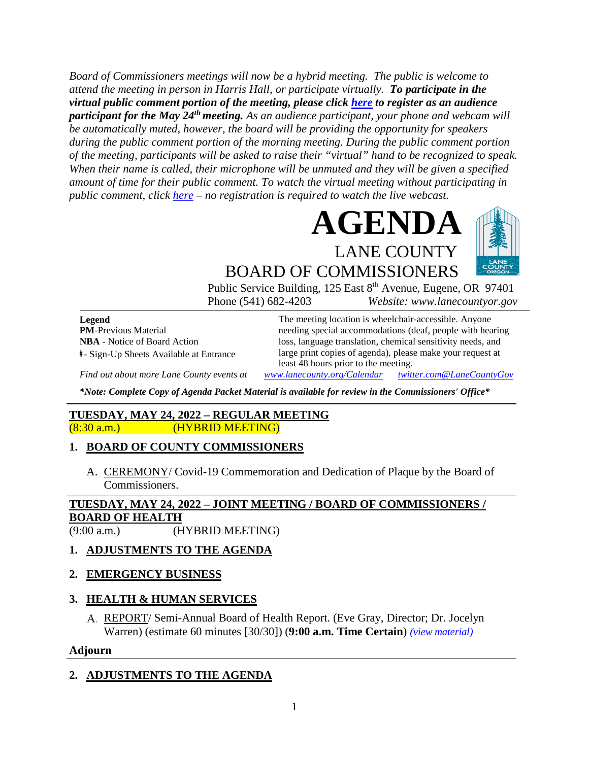*Board of Commissioners meetings will now be a hybrid meeting. The public is welcome to attend the meeting in person in Harris Hall, or participate virtually. To participate in the virtual public comment portion of the meeting, please click [here](https://us06web.zoom.us/webinar/register/WN_IdsfrRzsR5yeBw-KLXsUlQ) to register as an audience participant for the May 24th meeting. As an audience participant, your phone and webcam will be automatically muted, however, the board will be providing the opportunity for speakers during the public comment portion of the morning meeting. During the public comment portion of the meeting, participants will be asked to raise their "virtual" hand to be recognized to speak. When their name is called, their microphone will be unmuted and they will be given a specified amount of time for their public comment. To watch the virtual meeting without participating in public comment, click [here](https://lanecounty.org/cms/One.aspx?portalId=3585881&pageId=7842434) – no registration is required to watch the live webcast.*





BOARD OF COMMISSIONERS Public Service Building, 125 East 8<sup>th</sup> Avenue, Eugene, OR 97401

Phone (541) 682-4203 *Website: www.lanecountyor.gov*

**Legend PM**-Previous Material **NBA** - Notice of Board Action **#** - Sign-Up Sheets Available at Entrance

The meeting location is wheelchair-accessible. Anyone needing special accommodations (deaf, people with hearing loss, language translation, chemical sensitivity needs, and large print copies of agenda), please make your request at least 48 hours prior to the meeting.

*Find out about more Lane County events at [www.lanecounty.org/Calendar](http://www.lanecounty.org/Calendar) [twitter.com@LaneCountyGov](https://twitter.com/lanecountygov?lang=en)*

*\*Note: Complete Copy of Agenda Packet Material is available for review in the Commissioners' Office\**

#### **TUESDAY, MAY 24, 2022 – REGULAR MEETING** (8:30 a.m.) (HYBRID MEETING)

## **1. BOARD OF COUNTY COMMISSIONERS**

A. CEREMONY/ Covid-19 Commemoration and Dedication of Plaque by the Board of Commissioners.

# **TUESDAY, MAY 24, 2022 – JOINT MEETING / BOARD OF COMMISSIONERS / BOARD OF HEALTH**

(9:00 a.m.) (HYBRID MEETING)

# **1. ADJUSTMENTS TO THE AGENDA**

## **2. EMERGENCY BUSINESS**

## **3. HEALTH & HUMAN SERVICES**

REPORT/ Semi-Annual Board of Health Report. (Eve Gray, Director; Dr. Jocelyn Warren) (estimate 60 minutes [30/30]) (**9:00 a.m. Time Certain**) *(view [material\)](http://www.lanecountyor.gov/UserFiles/Servers/Server_3585797/File/Government/BCC/2022/2022_AGENDAS/052422agenda/T.3.A.pdf)*

#### **Adjourn**

## **2. ADJUSTMENTS TO THE AGENDA**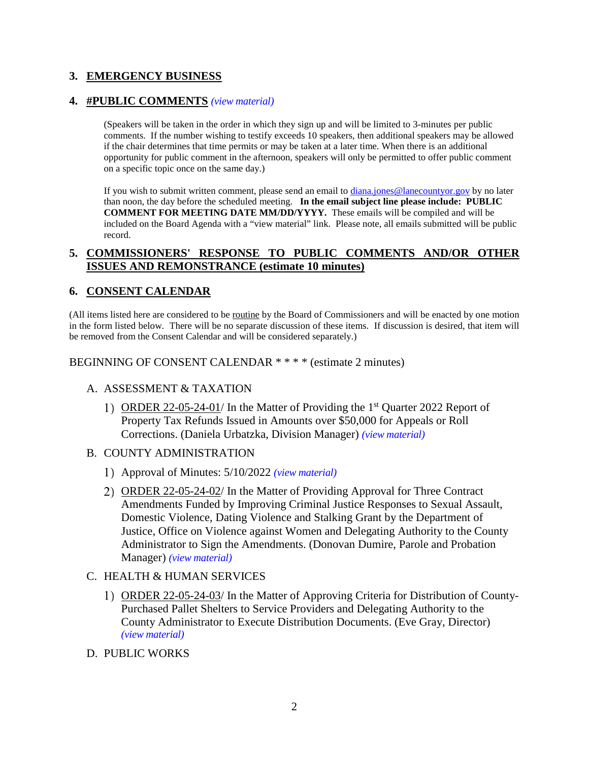## **3. EMERGENCY BUSINESS**

#### **4. #PUBLIC COMMENTS** *(view [material\)](http://www.lanecountyor.gov/UserFiles/Servers/Server_3585797/File/Government/BCC/2022/2022_AGENDAS/052422agenda/T.4.pdf)*

(Speakers will be taken in the order in which they sign up and will be limited to 3-minutes per public comments. If the number wishing to testify exceeds 10 speakers, then additional speakers may be allowed if the chair determines that time permits or may be taken at a later time. When there is an additional opportunity for public comment in the afternoon, speakers will only be permitted to offer public comment on a specific topic once on the same day.)

If you wish to submit written comment, please send an email to [diana.jones@lanecountyor.gov](mailto:diana.jones@lanecountyor.gov) by no later than noon, the day before the scheduled meeting. **In the email subject line please include: PUBLIC COMMENT FOR MEETING DATE MM/DD/YYYY.** These emails will be compiled and will be included on the Board Agenda with a "view material" link. Please note, all emails submitted will be public record.

#### **5. COMMISSIONERS' RESPONSE TO PUBLIC COMMENTS AND/OR OTHER ISSUES AND REMONSTRANCE (estimate 10 minutes)**

#### **6. CONSENT CALENDAR**

(All items listed here are considered to be routine by the Board of Commissioners and will be enacted by one motion in the form listed below. There will be no separate discussion of these items. If discussion is desired, that item will be removed from the Consent Calendar and will be considered separately.)

BEGINNING OF CONSENT CALENDAR \* \* \* \* (estimate 2 minutes)

#### A. ASSESSMENT & TAXATION

- 1) ORDER 22-05-24-01/ In the Matter of Providing the  $1<sup>st</sup>$  Quarter 2022 Report of Property Tax Refunds Issued in Amounts over \$50,000 for Appeals or Roll Corrections. (Daniela Urbatzka, Division Manager) *(view [material\)](http://www.lanecountyor.gov/UserFiles/Servers/Server_3585797/File/Government/BCC/2022/2022_AGENDAS/052422agenda/T.6.A.1.pdf)*
- B. COUNTY ADMINISTRATION
	- Approval of Minutes: 5/10/2022 *(view [material\)](http://www.lanecountyor.gov/UserFiles/Servers/Server_3585797/File/Government/BCC/2022/2022_AGENDAS/052422agenda/T.6.B.1.pdf)*
	- 2) ORDER 22-05-24-02/ In the Matter of Providing Approval for Three Contract Amendments Funded by Improving Criminal Justice Responses to Sexual Assault, Domestic Violence, Dating Violence and Stalking Grant by the Department of Justice, Office on Violence against Women and Delegating Authority to the County Administrator to Sign the Amendments. (Donovan Dumire, Parole and Probation Manager) *(view [material\)](http://www.lanecountyor.gov/UserFiles/Servers/Server_3585797/File/Government/BCC/2022/2022_AGENDAS/052422agenda/T.6.B.2.pdf)*
- C. HEALTH & HUMAN SERVICES
	- 1) ORDER 22-05-24-03/ In the Matter of Approving Criteria for Distribution of County-Purchased Pallet Shelters to Service Providers and Delegating Authority to the County Administrator to Execute Distribution Documents. (Eve Gray, Director) *(view [material\)](http://www.lanecountyor.gov/UserFiles/Servers/Server_3585797/File/Government/BCC/2022/2022_AGENDAS/052422agenda/T.6.C.1.pdf)*
- D. PUBLIC WORKS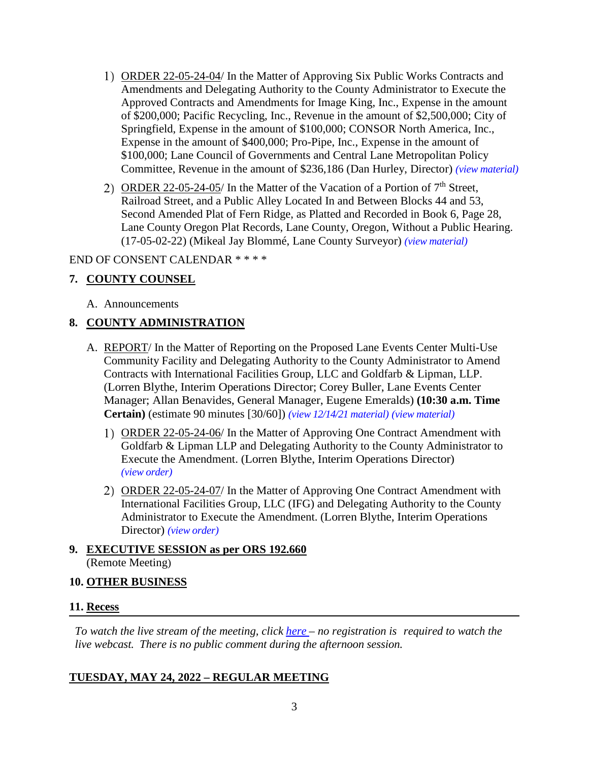- ORDER 22-05-24-04/ In the Matter of Approving Six Public Works Contracts and Amendments and Delegating Authority to the County Administrator to Execute the Approved Contracts and Amendments for Image King, Inc., Expense in the amount of \$200,000; Pacific Recycling, Inc., Revenue in the amount of \$2,500,000; City of Springfield, Expense in the amount of \$100,000; CONSOR North America, Inc., Expense in the amount of \$400,000; Pro-Pipe, Inc., Expense in the amount of \$100,000; Lane Council of Governments and Central Lane Metropolitan Policy Committee, Revenue in the amount of \$236,186 (Dan Hurley, Director) *(view [material\)](http://www.lanecountyor.gov/UserFiles/Servers/Server_3585797/File/Government/BCC/2022/2022_AGENDAS/052422agenda/T.6.D.1.pdf)*
- 2) ORDER 22-05-24-05/ In the Matter of the Vacation of a Portion of  $7<sup>th</sup>$  Street, Railroad Street, and a Public Alley Located In and Between Blocks 44 and 53, Second Amended Plat of Fern Ridge, as Platted and Recorded in Book 6, Page 28, Lane County Oregon Plat Records, Lane County, Oregon, Without a Public Hearing. (17-05-02-22) (Mikeal Jay Blommé, Lane County Surveyor) *(view [material\)](http://www.lanecountyor.gov/UserFiles/Servers/Server_3585797/File/Government/BCC/2022/2022_AGENDAS/052422agenda/T.6.D.2.pdf)*

#### END OF CONSENT CALENDAR \* \* \* \*

## **7. COUNTY COUNSEL**

A. Announcements

## **8. COUNTY ADMINISTRATION**

- A. REPORT/ In the Matter of Reporting on the Proposed Lane Events Center Multi-Use Community Facility and Delegating Authority to the County Administrator to Amend Contracts with International Facilities Group, LLC and Goldfarb & Lipman, LLP. (Lorren Blythe, Interim Operations Director; Corey Buller, Lane Events Center Manager; Allan Benavides, General Manager, Eugene Emeralds) **(10:30 a.m. Time Certain)** (estimate 90 minutes [30/60]) *(view [12/14/21 material\)](http://www.lanecountyor.gov/UserFiles/Servers/Server_3585797/File/Government/BCC/2021/2021_AGENDAS/121421agenda/T.7.B.pdf) (view [material\)](http://www.lanecountyor.gov/UserFiles/Servers/Server_3585797/File/Government/BCC/2022/2022_AGENDAS/052422agenda/T.8.A.pdf)*
	- 1) ORDER 22-05-24-06/ In the Matter of Approving One Contract Amendment with Goldfarb & Lipman LLP and Delegating Authority to the County Administrator to Execute the Amendment. (Lorren Blythe, Interim Operations Director) *(view [order\)](http://www.lanecountyor.gov/UserFiles/Servers/Server_3585797/File/Government/BCC/2022/2022_AGENDAS/052422agenda/T.8.A.1.pdf)*
	- 2) ORDER 22-05-24-07/ In the Matter of Approving One Contract Amendment with International Facilities Group, LLC (IFG) and Delegating Authority to the County Administrator to Execute the Amendment. (Lorren Blythe, Interim Operations Director) *(view [order\)](http://www.lanecountyor.gov/UserFiles/Servers/Server_3585797/File/Government/BCC/2022/2022_AGENDAS/052422agenda/T.8.A.2.pdf)*

# **9. EXECUTIVE SESSION as per ORS 192.660** (Remote Meeting)

#### **10. OTHER BUSINESS**

## **11. Recess**

*To watch the live stream of the meeting, click [here](https://lanecounty.org/cms/One.aspx?portalId=3585881&pageId=7842434) – no registration is required to watch the live webcast. There is no public comment during the afternoon session.*

## **TUESDAY, MAY 24, 2022 – REGULAR MEETING**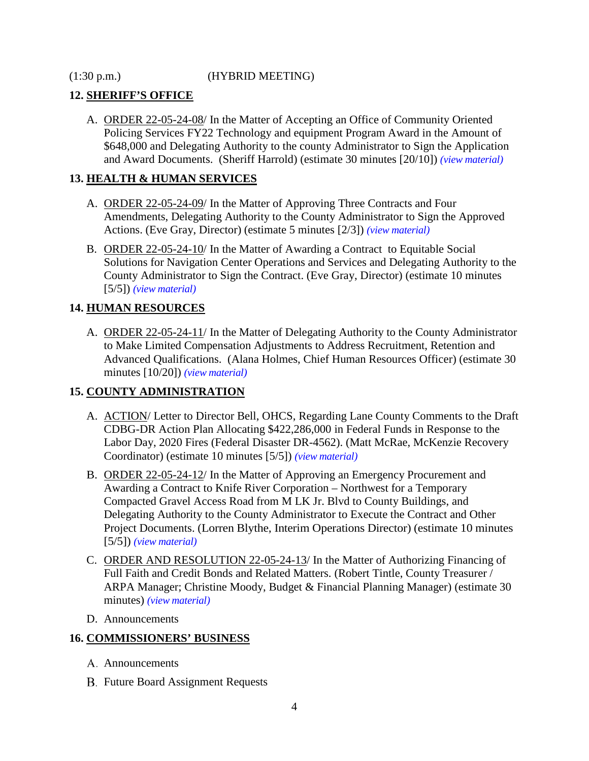(1:30 p.m.) (HYBRID MEETING)

## **12. SHERIFF'S OFFICE**

A. ORDER 22-05-24-08/ In the Matter of Accepting an Office of Community Oriented Policing Services FY22 Technology and equipment Program Award in the Amount of \$648,000 and Delegating Authority to the county Administrator to Sign the Application and Award Documents. (Sheriff Harrold) (estimate 30 minutes [20/10]) *(view [material\)](http://www.lanecountyor.gov/UserFiles/Servers/Server_3585797/File/Government/BCC/2022/2022_AGENDAS/052422agenda/T.12.A.pdf)*

## **13. HEALTH & HUMAN SERVICES**

- A. ORDER 22-05-24-09/ In the Matter of Approving Three Contracts and Four Amendments, Delegating Authority to the County Administrator to Sign the Approved Actions. (Eve Gray, Director) (estimate 5 minutes [2/3]) *(view [material\)](http://www.lanecountyor.gov/UserFiles/Servers/Server_3585797/File/Government/BCC/2022/2022_AGENDAS/052422agenda/T.13.A.pdf)*
- B. ORDER 22-05-24-10/ In the Matter of Awarding a Contract to Equitable Social Solutions for Navigation Center Operations and Services and Delegating Authority to the County Administrator to Sign the Contract. (Eve Gray, Director) (estimate 10 minutes [5/5]) *(view [material\)](http://www.lanecountyor.gov/UserFiles/Servers/Server_3585797/File/Government/BCC/2022/2022_AGENDAS/052422agenda/T.13.B.pdf)*

# **14. HUMAN RESOURCES**

A. ORDER 22-05-24-11/ In the Matter of Delegating Authority to the County Administrator to Make Limited Compensation Adjustments to Address Recruitment, Retention and Advanced Qualifications. (Alana Holmes, Chief Human Resources Officer) (estimate 30 minutes [10/20]) *(view [material\)](http://www.lanecountyor.gov/UserFiles/Servers/Server_3585797/File/Government/BCC/2022/2022_AGENDAS/052422agenda/T.14.A.pdf)*

# **15. COUNTY ADMINISTRATION**

- A. ACTION/ Letter to Director Bell, OHCS, Regarding Lane County Comments to the Draft CDBG-DR Action Plan Allocating \$422,286,000 in Federal Funds in Response to the Labor Day, 2020 Fires (Federal Disaster DR-4562). (Matt McRae, McKenzie Recovery Coordinator) (estimate 10 minutes [5/5]) *(view [material\)](http://www.lanecountyor.gov/UserFiles/Servers/Server_3585797/File/Government/BCC/2022/2022_AGENDAS/052422agenda/T.15.A.pdf)*
- B. ORDER 22-05-24-12/ In the Matter of Approving an Emergency Procurement and Awarding a Contract to Knife River Corporation – Northwest for a Temporary Compacted Gravel Access Road from M LK Jr. Blvd to County Buildings, and Delegating Authority to the County Administrator to Execute the Contract and Other Project Documents. (Lorren Blythe, Interim Operations Director) (estimate 10 minutes [5/5]) *(view [material\)](http://www.lanecountyor.gov/UserFiles/Servers/Server_3585797/File/Government/BCC/2022/2022_AGENDAS/052422agenda/T.15.B.pdf)*
- C. ORDER AND RESOLUTION 22-05-24-13/ In the Matter of Authorizing Financing of Full Faith and Credit Bonds and Related Matters. (Robert Tintle, County Treasurer / ARPA Manager; Christine Moody, Budget & Financial Planning Manager) (estimate 30 minutes) *(view [material\)](http://www.lanecountyor.gov/UserFiles/Servers/Server_3585797/File/Government/BCC/2022/2022_AGENDAS/052422agenda/T.15.C.pdf)*
- D. Announcements

# **16. COMMISSIONERS' BUSINESS**

- A. Announcements
- **B.** Future Board Assignment Requests